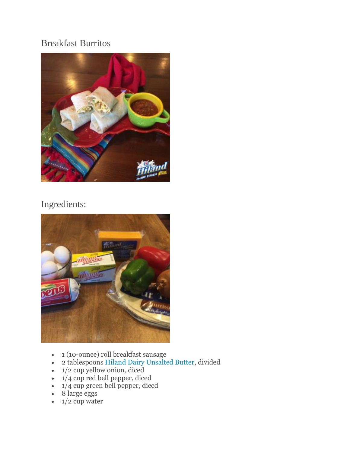## Breakfast Burritos



## Ingredients:



- 1 (10-ounce) roll breakfast sausage
- 2 tablespoons [Hiland Dairy Unsalted Butter,](https://www.hilanddairy.com/products/butters/) divided
- $\cdot$  1/2 cup yellow onion, diced
- 1/4 cup red bell pepper, diced
- 1/4 cup green bell pepper, diced
- 8 large eggs
- $\bullet$  1/2 cup water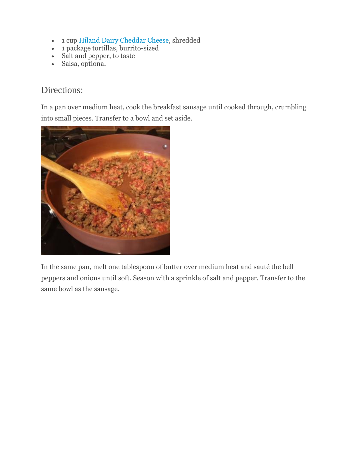- 1 cup [Hiland Dairy Cheddar Cheese,](https://www.hilanddairy.com/products/cheeses/) shredded
- 1 package tortillas, burrito-sized
- Salt and pepper, to taste
- Salsa, optional

## Directions:

In a pan over medium heat, cook the breakfast sausage until cooked through, crumbling into small pieces. Transfer to a bowl and set aside.



In the same pan, melt one tablespoon of butter over medium heat and sauté the bell peppers and onions until soft. Season with a sprinkle of salt and pepper. Transfer to the same bowl as the sausage.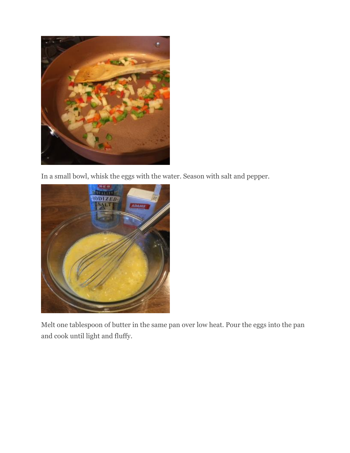

In a small bowl, whisk the eggs with the water. Season with salt and pepper.



Melt one tablespoon of butter in the same pan over low heat. Pour the eggs into the pan and cook until light and fluffy.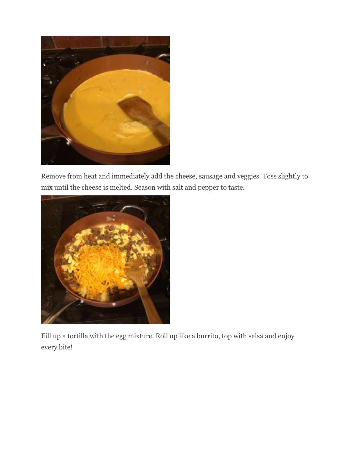

Remove from heat and immediately add the cheese, sausage and veggies. Toss slightly to mix until the cheese is melted. Season with salt and pepper to taste.



Fill up a tortilla with the egg mixture. Roll up like a burrito, top with salsa and enjoy every bite!